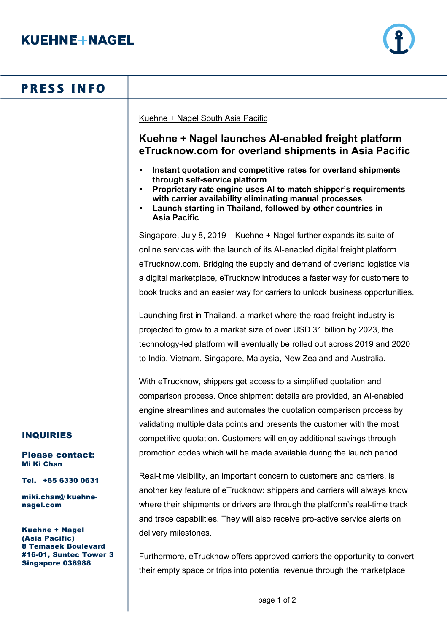

# **PRESS INFO**

Kuehne + Nagel South Asia Pacific

## **Kuehne + Nagel launches AI-enabled freight platform eTrucknow.com for overland shipments in Asia Pacific**

- § **Instant quotation and competitive rates for overland shipments through self-service platform**
- § **Proprietary rate engine uses AI to match shipper's requirements with carrier availability eliminating manual processes**
- § **Launch starting in Thailand, followed by other countries in Asia Pacific**

Singapore, July 8, 2019 – Kuehne + Nagel further expands its suite of online services with the launch of its AI-enabled digital freight platform eTrucknow.com. Bridging the supply and demand of overland logistics via a digital marketplace, eTrucknow introduces a faster way for customers to book trucks and an easier way for carriers to unlock business opportunities.

Launching first in Thailand, a market where the road freight industry is projected to grow to a market size of over USD 31 billion by 2023, the technology-led platform will eventually be rolled out across 2019 and 2020 to India, Vietnam, Singapore, Malaysia, New Zealand and Australia.

With eTrucknow, shippers get access to a simplified quotation and comparison process. Once shipment details are provided, an AI-enabled engine streamlines and automates the quotation comparison process by validating multiple data points and presents the customer with the most competitive quotation. Customers will enjoy additional savings through promotion codes which will be made available during the launch period.

Real-time visibility, an important concern to customers and carriers, is another key feature of eTrucknow: shippers and carriers will always know where their shipments or drivers are through the platform's real-time track and trace capabilities. They will also receive pro-active service alerts on delivery milestones.

Furthermore, eTrucknow offers approved carriers the opportunity to convert their empty space or trips into potential revenue through the marketplace

## INQUIRIES

#### Please contact: Mi Ki Chan

Tel. +65 6330 0631

miki.chan@ kuehnenagel.com

Kuehne + Nagel (Asia Pacific) 8 Temasek Boulevard #16-01, Suntec Tower 3 Singapore 038988